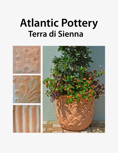# **Terra di Sienna Atlantic Pottery**

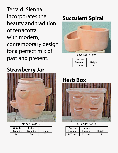Terra di Sienna incorporates the beauty and tradition of terracotta with modern, contemporary design for a perfect mix of past and present.

### **Strawberry Jar**



#### **AP-22 012441 TC**

| <b>Outside</b><br><b>Diameter</b> | <b>Inside</b><br><b>Diameter</b> | <b>Height</b> |
|-----------------------------------|----------------------------------|---------------|
| $16\frac{1}{2}$                   | $7\frac{1}{2}$                   | 15            |

### **Succulent Spiral**



**AP-22 011615 TC**

| <b>Outside</b>  |               |
|-----------------|---------------|
| <b>Diameter</b> | <b>Height</b> |
| 11 x 15         | Զ             |

### **Herb Box**



#### **AP-22 061040 TC**

| Outside                             | <b>Inside</b>                       |               |
|-------------------------------------|-------------------------------------|---------------|
| <b>Diameter</b>                     | <b>Diameter</b>                     | <b>Height</b> |
| $16\frac{1}{2} \times 8\frac{1}{2}$ | $12\frac{1}{2} \times 4\frac{1}{2}$ | 12            |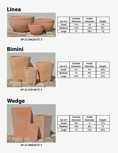# **Linea**



|               | Outside         | Inside                         |                |
|---------------|-----------------|--------------------------------|----------------|
| Set of 3      | <b>Diameter</b> | <b>Diameter</b>                | <b>Height</b>  |
| <b>Small</b>  | $11\frac{1}{2}$ | 10                             | $7\frac{1}{4}$ |
| <b>Medium</b> | $15\frac{3}{4}$ | 13 <sup>3</sup> / <sub>4</sub> | $9\frac{1}{2}$ |
| Large         | 21              | $18\frac{1}{2}$                | 12             |

**AP-22 306250 TC 3**

## **Bimini**



| Set of 3      | <b>Outside</b><br><b>Diameter</b> | <b>Inside</b><br><b>Diameter</b> | <b>Height</b>   |
|---------------|-----------------------------------|----------------------------------|-----------------|
| <b>Small</b>  | $9\frac{1}{4}$                    | $7\frac{1}{4}$                   | $10\frac{1}{4}$ |
| <b>Medium</b> | 12                                | $9^{3}/_{4}$                     | $13\frac{1}{4}$ |
| Large         | $15\frac{1}{2}$                   | 13                               | $17\frac{1}{4}$ |

**AP-22 370140 TC 3**

# **Wedge**



|               | Outside                        | Inside          |                 |
|---------------|--------------------------------|-----------------|-----------------|
| Set of 3      | <b>Diameter</b>                | <b>Diameter</b> | <b>Height</b>   |
| <b>Small</b>  | $6\frac{3}{4}$                 |                 | $11\frac{1}{2}$ |
| <b>Medium</b> | 10 <sup>3</sup> / <sub>4</sub> | $8\frac{3}{4}$  | 17              |
| Large         | 15                             | $12\frac{1}{2}$ | $23\frac{1}{4}$ |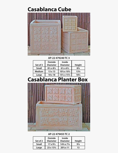### **Casablanca Cube**



**AP-22 479240 TC 3**

|               | Outside                            | <b>Inside</b>                        |                 |
|---------------|------------------------------------|--------------------------------------|-----------------|
| Set of 3      | <b>Diameter</b>                    | <b>Diameter</b>                      | <b>Height</b>   |
| <b>Small</b>  | $8\frac{1}{2} \times 8\frac{1}{2}$ | $6\frac{1}{2} \times 6\frac{1}{2}$   | $8\frac{3}{4}$  |
| <b>Medium</b> | $13 \times 13$                     | $10\frac{1}{2}x 10\frac{1}{2}$       | $13\frac{1}{4}$ |
| Large         | $18 \times 18$                     | $15\frac{1}{2} \times 15\frac{1}{2}$ | $18\frac{1}{2}$ |

### **Casablanca Planter Box**



#### **AP-22 479455 TC 2**

| Set of 2     | <b>Outside</b><br><b>Diameter</b> | <b>Inside</b><br><b>Diameter</b>    | <b>Height</b>  |
|--------------|-----------------------------------|-------------------------------------|----------------|
| <b>Small</b> | $17 \times 9\frac{1}{2}$          | $14\frac{3}{4} \times 7\frac{1}{4}$ | $9\frac{1}{4}$ |
| Large        | $23 \times 13\frac{1}{2}$         | $20\frac{1}{2}x$ 11                 | 13             |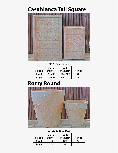# **Casablanca Tall Square**



AP-22 479343 TC 2

| Set of 2     | <b>Outside</b><br><b>Diameter</b> | <b>Inside</b><br><b>Diameter</b>     | <b>Height</b> |
|--------------|-----------------------------------|--------------------------------------|---------------|
| <b>Small</b> | $13 \times 13$                    | $10\frac{1}{2} \times 10\frac{1}{2}$ | 20            |
| Large        | $18 \times 18$                    | $15\frac{1}{2} \times 15\frac{1}{2}$ | 28            |

# **Romy Round**



#### **AP-22 373658 TC 2**

|              | Outside         | <b>Inside</b>   |               |
|--------------|-----------------|-----------------|---------------|
| Set of 2     | <b>Diameter</b> | <b>Diameter</b> | <b>Height</b> |
| <b>Small</b> | 15              | $12\frac{1}{2}$ | 15            |
| Large        | フフ              | 19              | フフ            |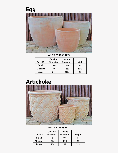

**AP-22 394060 TC 3**

| Set of 3      | Outside<br><b>Diameter</b> | <b>Inside</b><br><b>Diameter</b> | <b>Height</b>   |
|---------------|----------------------------|----------------------------------|-----------------|
| <b>Small</b>  | $15\frac{1}{2}$            | $13\frac{1}{4}$                  | 13              |
| <b>Medium</b> | 19                         | $16\frac{3}{4}$                  | $16\frac{1}{2}$ |
| Large         | 24                         | $21\frac{1}{2}$                  | 20              |

# **Artichoke**



#### **AP-22 317658 TC 3**

|               | Outside         | Inside          |               |
|---------------|-----------------|-----------------|---------------|
| Set of 3      | <b>Diameter</b> | <b>Diameter</b> | <b>Height</b> |
| <b>Small</b>  | 12              | $9\frac{1}{2}$  | 11            |
| <b>Medium</b> | $16\frac{1}{2}$ | $13\frac{3}{4}$ | 15            |
| Large         | $22\frac{1}{2}$ | 19              | 19¾           |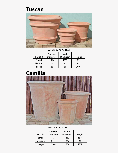### **Tuscan**



**AP-22 327070 TC 3**

|               | Outside         | <b>Inside</b>   |                 |
|---------------|-----------------|-----------------|-----------------|
| Set of 3      | <b>Diameter</b> | <b>Diameter</b> | <b>Height</b>   |
| <b>Small</b>  | $14\frac{1}{2}$ | $11\frac{1}{2}$ | 11              |
| <b>Medium</b> | 20              | 16              | $14\frac{1}{2}$ |
| Large         | 26              | 21              | $20\frac{1}{2}$ |



#### **AP-22 328072 TC 3**

|               | <b>Outside</b>  | <b>Inside</b>   |                 |
|---------------|-----------------|-----------------|-----------------|
| Set of 3      | <b>Diameter</b> | <b>Diameter</b> | <b>Height</b>   |
| <b>Small</b>  | 15              | $11\frac{1}{2}$ | $15\frac{1}{4}$ |
| <b>Medium</b> | $21\frac{1}{2}$ | $16\frac{3}{4}$ | 20              |
| Large         | $28\frac{1}{2}$ | $23\frac{1}{4}$ | 281/4           |